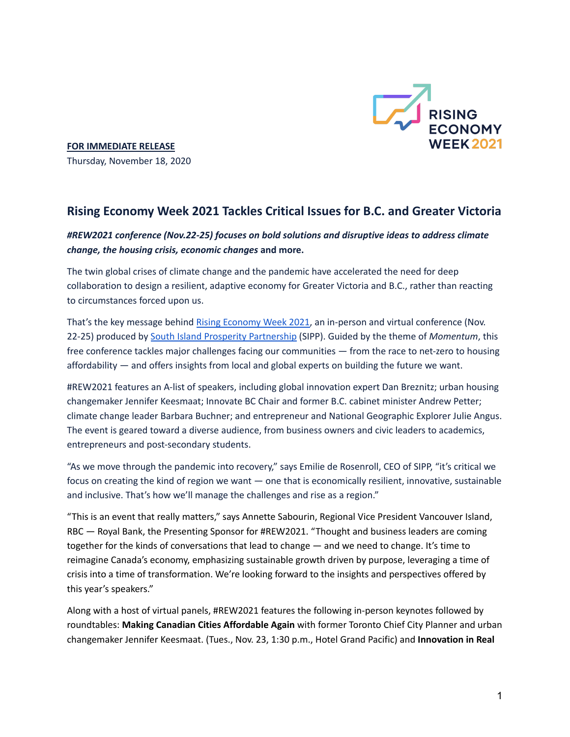

**FOR IMMEDIATE RELEASE** Thursday, November 18, 2020

## **Rising Economy Week 2021 Tackles Critical Issues for B.C. and Greater Victoria**

## *#REW2021 conference (Nov.22-25) focuses on bold solutions and disruptive ideas to address climate change, the housing crisis, economic changes* **and more.**

The twin global crises of climate change and the pandemic have accelerated the need for deep collaboration to design a resilient, adaptive economy for Greater Victoria and B.C., rather than reacting to circumstances forced upon us.

That's the key message behind Rising [Economy](https://ourrisingeconomy.com/) Week 2021, an in-person and virtual conference (Nov. 22-25) produced by South Island Prosperity [Partnership](https://southislandprosperity.ca/) (SIPP). Guided by the theme of *Momentum*, this free conference tackles major challenges facing our communities — from the race to net-zero to housing affordability — and offers insights from local and global experts on building the future we want.

#REW2021 features an A-list of speakers, including global innovation expert Dan Breznitz; urban housing changemaker Jennifer Keesmaat; Innovate BC Chair and former B.C. cabinet minister Andrew Petter; climate change leader Barbara Buchner; and entrepreneur and National Geographic Explorer Julie Angus. The event is geared toward a diverse audience, from business owners and civic leaders to academics, entrepreneurs and post-secondary students.

"As we move through the pandemic into recovery," says Emilie de Rosenroll, CEO of SIPP, "it's critical we focus on creating the kind of region we want — one that is economically resilient, innovative, sustainable and inclusive. That's how we'll manage the challenges and rise as a region."

"This is an event that really matters," says Annette Sabourin, Regional Vice President Vancouver Island, RBC — Royal Bank, the Presenting Sponsor for #REW2021. "Thought and business leaders are coming together for the kinds of conversations that lead to change — and we need to change. It's time to reimagine Canada's economy, emphasizing sustainable growth driven by purpose, leveraging a time of crisis into a time of transformation. We're looking forward to the insights and perspectives offered by this year's speakers."

Along with a host of virtual panels, #REW2021 features the following in-person keynotes followed by roundtables: **Making Canadian Cities Affordable Again** with former Toronto Chief City Planner and urban changemaker Jennifer Keesmaat. (Tues., Nov. 23, 1:30 p.m., Hotel Grand Pacific) and **Innovation in Real**